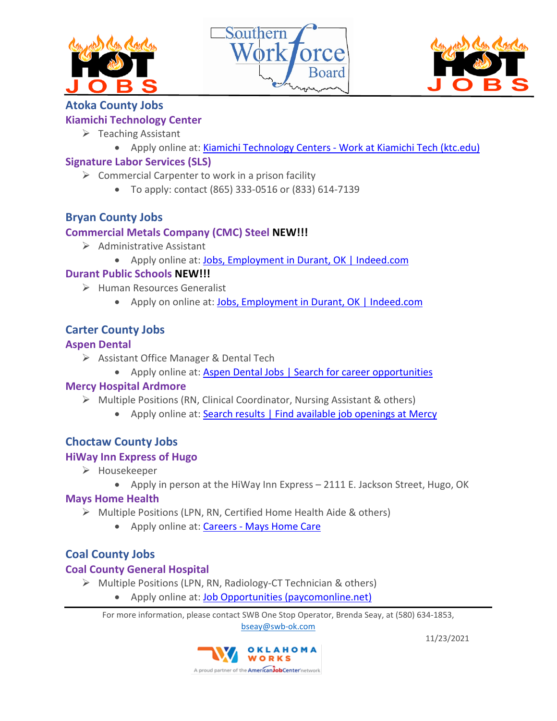





# **Atoka County Jobs**

## **Kiamichi Technology Center**

- $\triangleright$  Teaching Assistant
	- Apply online at: Kiamichi Technology Centers [Work at Kiamichi Tech \(ktc.edu\)](https://www.ktc.edu/564664_3)

# **Signature Labor Services (SLS)**

- $\triangleright$  Commercial Carpenter to work in a prison facility
	- To apply: contact (865) 333-0516 or (833) 614-7139

# **Bryan County Jobs**

# **Commercial Metals Company (CMC) Steel NEW!!!**

- $\triangleright$  Administrative Assistant
	- Apply online at: [Jobs, Employment in Durant, OK | Indeed.com](https://www.indeed.com/l-Durant,-OK-jobs.html?vjk=0819c503fde3d659)

# **Durant Public Schools NEW!!!**

- $\triangleright$  Human Resources Generalist
	- Apply on online at[: Jobs, Employment in Durant, OK | Indeed.com](https://www.indeed.com/l-Durant,-OK-jobs.html?vjk=7e29b343f390e29d)

# **Carter County Jobs**

#### **Aspen Dental**

- $\triangleright$  Assistant Office Manager & Dental Tech
	- Apply online at: [Aspen Dental Jobs | Search for career opportunities](https://search.aspendentaljobs.com/?query=jobs+near+me&referrerPageUrl=&tabOrder=.%2Findex.html%2Cjobs%2Clinks%2Cfaqs&verticalUrl=jobs.html)

## **Mercy Hospital Ardmore**

- Multiple Positions (RN, Clinical Coordinator, Nursing Assistant & others)
	- Apply online at: [Search results | Find available job openings at Mercy](https://careers.mercy.net/search-results?keywords=&p=ChIJna8fj68pTYYRstSSvjAJ_Jc&location=Ardmore,%20OK,%20USA&latitude=34.360394&longitude=-96.166946)

# **Choctaw County Jobs**

## **HiWay Inn Express of Hugo**

- > Housekeeper
	- Apply in person at the HiWay Inn Express 2111 E. Jackson Street, Hugo, OK

## **Mays Home Health**

- $\triangleright$  Multiple Positions (LPN, RN, Certified Home Health Aide & others)
	- Apply online at: Careers [Mays Home Care](https://mayshomecare.com/careers/)

# **Coal County Jobs**

## **Coal County General Hospital**

- $\triangleright$  Multiple Positions (LPN, RN, Radiology-CT Technician & others)
	- Apply online at: [Job Opportunities \(paycomonline.net\)](https://www.paycomonline.net/v4/ats/web.php/jobs?clientkey=D9F405A20A0247BF926CDA2982BA9E8F)

For more information, please contact SWB One Stop Operator, Brenda Seay, at (580) 634-1853, [bseay@swb-ok.com](mailto:bseay@swb-ok.com) 

> OKLAHOMA WORKS A proud partner of the **American Job Center** network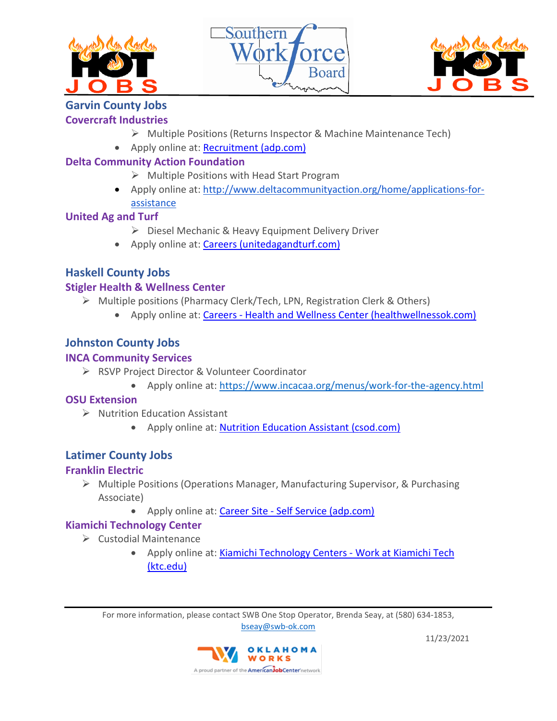





# **Garvin County Jobs**

# **Covercraft Industries**

- Multiple Positions (Returns Inspector & Machine Maintenance Tech)
- Apply online at: [Recruitment \(adp.com\)](https://workforcenow.adp.com/mascsr/default/mdf/recruitment/recruitment.html?cid=f9508983-7a3a-4b75-b416-1eb570593c7e&ccId=9200043314687_2&lang=en_US)

# **Delta Community Action Foundation**

- $\triangleright$  Multiple Positions with Head Start Program
- Apply online at: [http://www.deltacommunityaction.org/home/applications-for](http://www.deltacommunityaction.org/home/applications-for-assistance)[assistance](http://www.deltacommunityaction.org/home/applications-for-assistance)

# **United Ag and Turf**

- Diesel Mechanic & Heavy Equipment Delivery Driver
- Apply online at: [Careers \(unitedagandturf.com\)](https://www.unitedagandturf.com/about-us/careers/)

# **Haskell County Jobs**

# **Stigler Health & Wellness Center**

- Multiple positions (Pharmacy Clerk/Tech, LPN, Registration Clerk & Others)
	- Apply online at: Careers [Health and Wellness Center \(healthwellnessok.com\)](https://healthwellnessok.com/careers)

# **Johnston County Jobs**

# **INCA Community Services**

- RSVP Project Director & Volunteer Coordinator
	- Apply online at:<https://www.incacaa.org/menus/work-for-the-agency.html>

# **OSU Extension**

- $\triangleright$  Nutrition Education Assistant
	- Apply online at: [Nutrition Education Assistant \(csod.com\)](https://okstate.csod.com/ats/careersite/JobDetails.aspx?site=8&id=10191)

# **Latimer County Jobs**

# **Franklin Electric**

- Multiple Positions (Operations Manager, Manufacturing Supervisor, & Purchasing Associate)
	- Apply online at: Career Site [Self Service \(adp.com\)](https://recruiting.adp.com/srccar/public/RTI.home?d=ExternalCareerSite&c=1067441#/)

# **Kiamichi Technology Center**

- $\triangleright$  Custodial Maintenance
	- Apply online at: [Kiamichi Technology Centers -](https://www.ktc.edu/564664_3) Work at Kiamichi Tech [\(ktc.edu\)](https://www.ktc.edu/564664_3)

For more information, please contact SWB One Stop Operator, Brenda Seay, at (580) 634-1853, [bseay@swb-ok.com](mailto:bseay@swb-ok.com) 

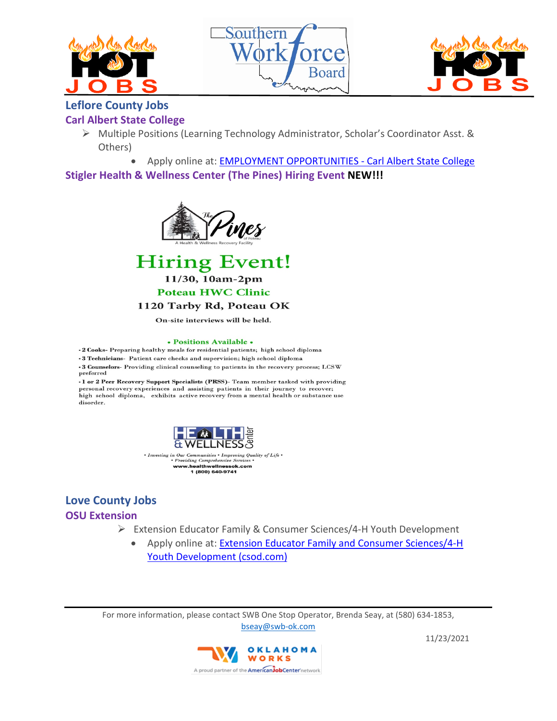





# **Leflore County Jobs**

#### **Carl Albert State College**

 Multiple Positions (Learning Technology Administrator, Scholar's Coordinator Asst. & Others)

• Apply online at: [EMPLOYMENT OPPORTUNITIES -](https://www.carlalbert.edu/employment-opportunities/) Carl Albert State College **Stigler Health & Wellness Center (The Pines) Hiring Event NEW!!!**





#### 1120 Tarby Rd, Poteau OK

On-site interviews will be held.

#### • Positions Available •

•2 Cooks- Preparing healthy meals for residential patients; high school diploma

.3 Technicians- Patient care checks and supervision; high school diploma • 3 Counselors- Providing clinical counseling to patients in the recovery process; LCSW preferred

·1 or 2 Peer Recovery Support Specialists (PRSS)- Team member tasked with providing personal recovery experiences and assisting patients in their journey to recover; high school diploma, exhibits active recovery from a mental health or substance use disorder.



Improving Quality of Life • *munities* Providing Comprehensive Services<br>www.healthwellnessok.com<br>1 (800) 640-9741

## **Love County Jobs OSU Extension**

- Extension Educator Family & Consumer Sciences/4-H Youth Development
	- Apply online at: [Extension Educator Family and Consumer Sciences/4-H](https://okstate.csod.com/ats/careersite/JobDetails.aspx?site=8&id=9619)  [Youth Development \(csod.com\)](https://okstate.csod.com/ats/careersite/JobDetails.aspx?site=8&id=9619)

For more information, please contact SWB One Stop Operator, Brenda Seay, at (580) 634-1853, [bseay@swb-ok.com](mailto:bseay@swb-ok.com) 

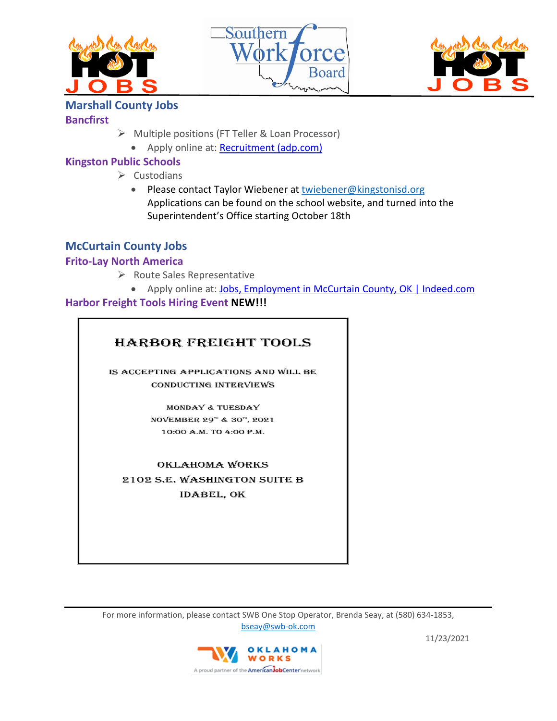





# **Marshall County Jobs**

#### **Bancfirst**

- $\triangleright$  Multiple positions (FT Teller & Loan Processor)
	- Apply online at: [Recruitment \(adp.com\)](https://workforcenow.adp.com/mascsr/default/mdf/recruitment/recruitment.html?cid=1da3e70c-e60a-466c-a367-419990b1b80f&ccId=19000101_000001&type=MP&lang=en_US)

# **Kingston Public Schools**

- $\triangleright$  Custodians
	- Please contact Taylor Wiebener at [twiebener@kingstonisd.org](mailto:twiebener@kingstonisd.org) Applications can be found on the school website, and turned into the Superintendent's Office starting October 18th

# **McCurtain County Jobs**

# **Frito-Lay North America**

- $\triangleright$  Route Sales Representative
	- Apply online at: [Jobs, Employment in McCurtain County, OK | Indeed.com](https://www.indeed.com/l-McCurtain-County,-OK-jobs.html?vjk=295d6eb76658f282)

# **Harbor Freight Tools Hiring Event NEW!!!**

# **HARBOR FREIGHT TOOLS**

IS ACCEPTING APPLICATIONS AND WILL BE **CONDUCTING INTERVIEWS** 

> MONDAY & TUESDAY NOVEMBER 29™ & 30™, 2021 10:00 A.M. TO 4:00 P.M.

**OKLAHOMA WORKS** 2102 S.E. WASHINGTON SUITE B **IDABEL, OK** 

For more information, please contact SWB One Stop Operator, Brenda Seay, at (580) 634-1853, [bseay@swb-ok.com](mailto:bseay@swb-ok.com) 

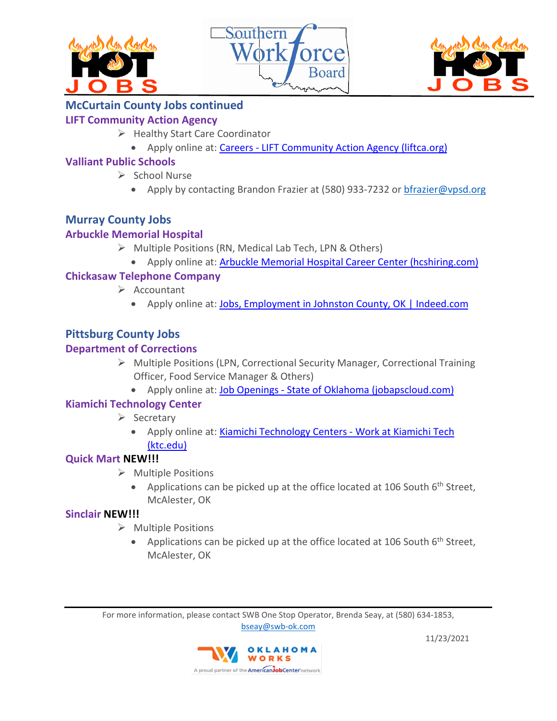





# **McCurtain County Jobs continued**

# **LIFT Community Action Agency**

- $\triangleright$  Healthy Start Care Coordinator
	- Apply online at: Careers [LIFT Community Action Agency \(liftca.org\)](https://liftca.org/careers/)

# **Valliant Public Schools**

- $\triangleright$  School Nurse
	- Apply by contacting Brandon Frazier at (580) 933-7232 or [bfrazier@vpsd.org](mailto:bfrazier@vpsd.org)

# **Murray County Jobs**

# **Arbuckle Memorial Hospital**

- $\triangleright$  Multiple Positions (RN, Medical Lab Tech, LPN & Others)
	- Apply online at: [Arbuckle Memorial Hospital Career Center \(hcshiring.com\)](https://arbucklehospital.hcshiring.com/jobs)

# **Chickasaw Telephone Company**

- $\triangleright$  Accountant
	- Apply online at: [Jobs, Employment in Johnston County, OK | Indeed.com](https://www.indeed.com/l-Johnston-County,-OK-jobs.html?vjk=197b2ce6b5e72fc8)

# **Pittsburg County Jobs**

# **Department of Corrections**

- Multiple Positions (LPN, Correctional Security Manager, Correctional Training Officer, Food Service Manager & Others)
	- Apply online at: Job Openings [State of Oklahoma \(jobapscloud.com\)](https://www.jobapscloud.com/OK/?Keyword=&Loc=loc61&DeptNumber=131610&OccList=&JobType=#SearchForm)

## **Kiamichi Technology Center**

- $\triangleright$  Secretary
	- Apply online at: [Kiamichi Technology Centers -](https://www.ktc.edu/564664_3) Work at Kiamichi Tech [\(ktc.edu\)](https://www.ktc.edu/564664_3)

## **Quick Mart NEW!!!**

- $\triangleright$  Multiple Positions
	- Applications can be picked up at the office located at 106 South  $6<sup>th</sup>$  Street, McAlester, OK

# **Sinclair NEW!!!**

- $\triangleright$  Multiple Positions
	- Applications can be picked up at the office located at 106 South  $6<sup>th</sup>$  Street, McAlester, OK

For more information, please contact SWB One Stop Operator, Brenda Seay, at (580) 634-1853, [bseay@swb-ok.com](mailto:bseay@swb-ok.com)